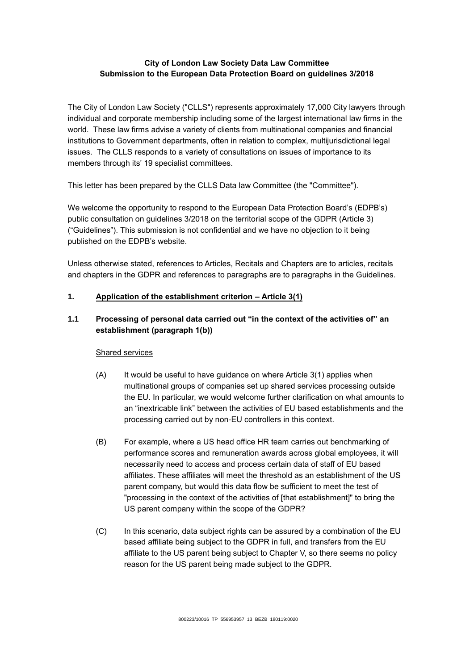# **City of London Law Society Data Law Committee Submission to the European Data Protection Board on guidelines 3/2018**

The City of London Law Society ("CLLS") represents approximately 17,000 City lawyers through individual and corporate membership including some of the largest international law firms in the world. These law firms advise a variety of clients from multinational companies and financial institutions to Government departments, often in relation to complex, multijurisdictional legal issues. The CLLS responds to a variety of consultations on issues of importance to its members through its' 19 specialist committees.

This letter has been prepared by the CLLS Data law Committee (the "Committee").

We welcome the opportunity to respond to the European Data Protection Board's (EDPB's) public consultation on guidelines 3/2018 on the territorial scope of the GDPR (Article 3) ("Guidelines"). This submission is not confidential and we have no objection to it being published on the EDPB's website.

Unless otherwise stated, references to Articles, Recitals and Chapters are to articles, recitals and chapters in the GDPR and references to paragraphs are to paragraphs in the Guidelines.

# **1. Application of the establishment criterion – Article 3(1)**

# **1.1 Processing of personal data carried out "in the context of the activities of" an establishment (paragraph 1(b))**

# Shared services

- (A) It would be useful to have quidance on where Article 3(1) applies when multinational groups of companies set up shared services processing outside the EU. In particular, we would welcome further clarification on what amounts to an "inextricable link" between the activities of EU based establishments and the processing carried out by non-EU controllers in this context.
- (B) For example, where a US head office HR team carries out benchmarking of performance scores and remuneration awards across global employees, it will necessarily need to access and process certain data of staff of EU based affiliates. These affiliates will meet the threshold as an establishment of the US parent company, but would this data flow be sufficient to meet the test of "processing in the context of the activities of [that establishment]" to bring the US parent company within the scope of the GDPR?
- (C) In this scenario, data subject rights can be assured by a combination of the EU based affiliate being subject to the GDPR in full, and transfers from the EU affiliate to the US parent being subject to Chapter V, so there seems no policy reason for the US parent being made subject to the GDPR.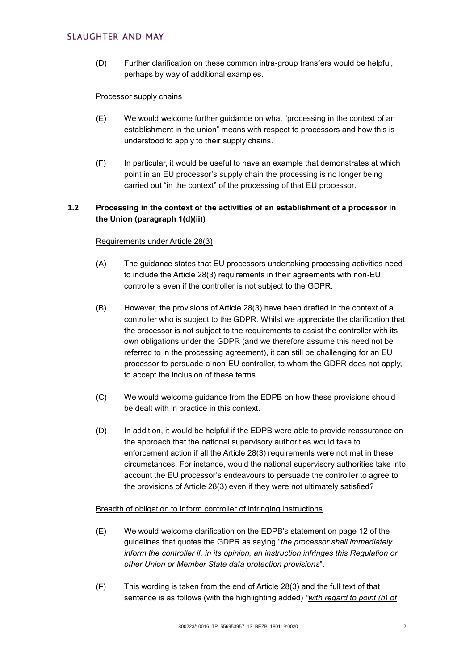# **SLAUGHTER AND MAY**

(D) Further clarification on these common intra-group transfers would be helpful, perhaps by way of additional examples.

# Processor supply chains

- (E) We would welcome further guidance on what "processing in the context of an establishment in the union" means with respect to processors and how this is understood to apply to their supply chains.
- (F) In particular, it would be useful to have an example that demonstrates at which point in an EU processor's supply chain the processing is no longer being carried out "in the context" of the processing of that EU processor.

# **1.2 Processing in the context of the activities of an establishment of a processor in the Union (paragraph 1(d)(ii))**

### Requirements under Article 28(3)

- (A) The guidance states that EU processors undertaking processing activities need to include the Article 28(3) requirements in their agreements with non-EU controllers even if the controller is not subject to the GDPR.
- (B) However, the provisions of Article 28(3) have been drafted in the context of a controller who is subject to the GDPR. Whilst we appreciate the clarification that the processor is not subject to the requirements to assist the controller with its own obligations under the GDPR (and we therefore assume this need not be referred to in the processing agreement), it can still be challenging for an EU processor to persuade a non-EU controller, to whom the GDPR does not apply, to accept the inclusion of these terms.
- (C) We would welcome guidance from the EDPB on how these provisions should be dealt with in practice in this context.
- (D) In addition, it would be helpful if the EDPB were able to provide reassurance on the approach that the national supervisory authorities would take to enforcement action if all the Article 28(3) requirements were not met in these circumstances. For instance, would the national supervisory authorities take into account the EU processor's endeavours to persuade the controller to agree to the provisions of Article 28(3) even if they were not ultimately satisfied?

# Breadth of obligation to inform controller of infringing instructions

- (E) We would welcome clarification on the EDPB's statement on page 12 of the guidelines that quotes the GDPR as saying "*the processor shall immediately inform the controller if, in its opinion, an instruction infringes this Regulation or other Union or Member State data protection provisions*".
- (F) This wording is taken from the end of Article 28(3) and the full text of that sentence is as follows (with the highlighting added) *"with regard to point (h) of*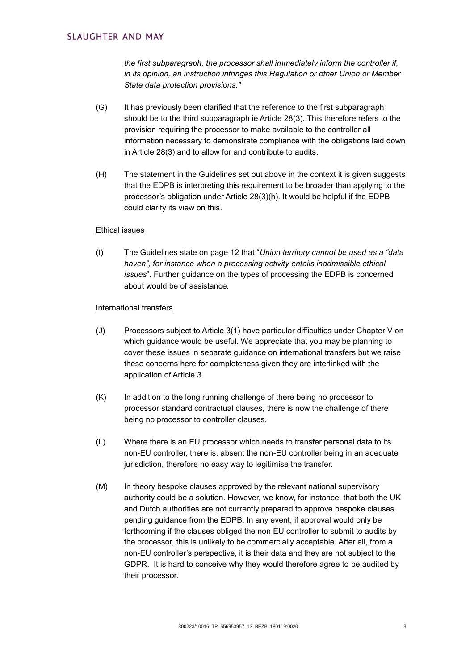*the first subparagraph, the processor shall immediately inform the controller if, in its opinion, an instruction infringes this Regulation or other Union or Member State data protection provisions."*

- (G) It has previously been clarified that the reference to the first subparagraph should be to the third subparagraph ie Article 28(3). This therefore refers to the provision requiring the processor to make available to the controller all information necessary to demonstrate compliance with the obligations laid down in Article 28(3) and to allow for and contribute to audits.
- (H) The statement in the Guidelines set out above in the context it is given suggests that the EDPB is interpreting this requirement to be broader than applying to the processor's obligation under Article 28(3)(h). It would be helpful if the EDPB could clarify its view on this.

### Ethical issues

(I) The Guidelines state on page 12 that "*Union territory cannot be used as a "data haven", for instance when a processing activity entails inadmissible ethical issues*". Further guidance on the types of processing the EDPB is concerned about would be of assistance.

#### International transfers

- (J) Processors subject to Article 3(1) have particular difficulties under Chapter V on which guidance would be useful. We appreciate that you may be planning to cover these issues in separate guidance on international transfers but we raise these concerns here for completeness given they are interlinked with the application of Article 3.
- (K) In addition to the long running challenge of there being no processor to processor standard contractual clauses, there is now the challenge of there being no processor to controller clauses.
- (L) Where there is an EU processor which needs to transfer personal data to its non-EU controller, there is, absent the non-EU controller being in an adequate jurisdiction, therefore no easy way to legitimise the transfer.
- (M) In theory bespoke clauses approved by the relevant national supervisory authority could be a solution. However, we know, for instance, that both the UK and Dutch authorities are not currently prepared to approve bespoke clauses pending guidance from the EDPB. In any event, if approval would only be forthcoming if the clauses obliged the non EU controller to submit to audits by the processor, this is unlikely to be commercially acceptable. After all, from a non-EU controller's perspective, it is their data and they are not subject to the GDPR. It is hard to conceive why they would therefore agree to be audited by their processor.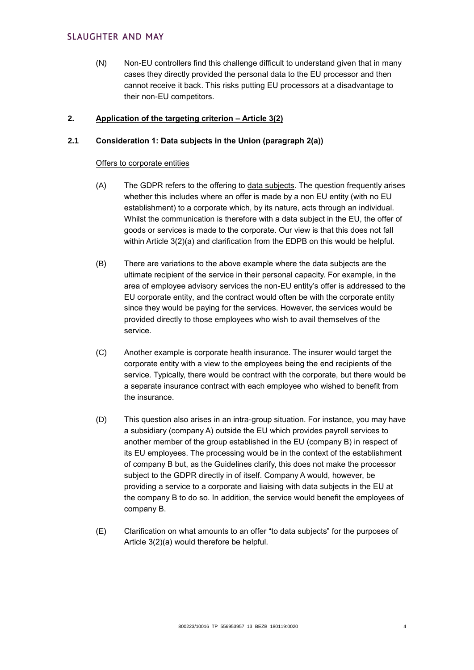(N) Non-EU controllers find this challenge difficult to understand given that in many cases they directly provided the personal data to the EU processor and then cannot receive it back. This risks putting EU processors at a disadvantage to their non-EU competitors.

# **2. Application of the targeting criterion – Article 3(2)**

# **2.1 Consideration 1: Data subjects in the Union (paragraph 2(a))**

# Offers to corporate entities

- (A) The GDPR refers to the offering to data subjects. The question frequently arises whether this includes where an offer is made by a non EU entity (with no EU establishment) to a corporate which, by its nature, acts through an individual. Whilst the communication is therefore with a data subject in the EU, the offer of goods or services is made to the corporate. Our view is that this does not fall within Article 3(2)(a) and clarification from the EDPB on this would be helpful.
- (B) There are variations to the above example where the data subjects are the ultimate recipient of the service in their personal capacity. For example, in the area of employee advisory services the non-EU entity's offer is addressed to the EU corporate entity, and the contract would often be with the corporate entity since they would be paying for the services. However, the services would be provided directly to those employees who wish to avail themselves of the service.
- (C) Another example is corporate health insurance. The insurer would target the corporate entity with a view to the employees being the end recipients of the service. Typically, there would be contract with the corporate, but there would be a separate insurance contract with each employee who wished to benefit from the insurance.
- (D) This question also arises in an intra-group situation. For instance, you may have a subsidiary (company A) outside the EU which provides payroll services to another member of the group established in the EU (company B) in respect of its EU employees. The processing would be in the context of the establishment of company B but, as the Guidelines clarify, this does not make the processor subject to the GDPR directly in of itself. Company A would, however, be providing a service to a corporate and liaising with data subjects in the EU at the company B to do so. In addition, the service would benefit the employees of company B.
- (E) Clarification on what amounts to an offer "to data subjects" for the purposes of Article 3(2)(a) would therefore be helpful.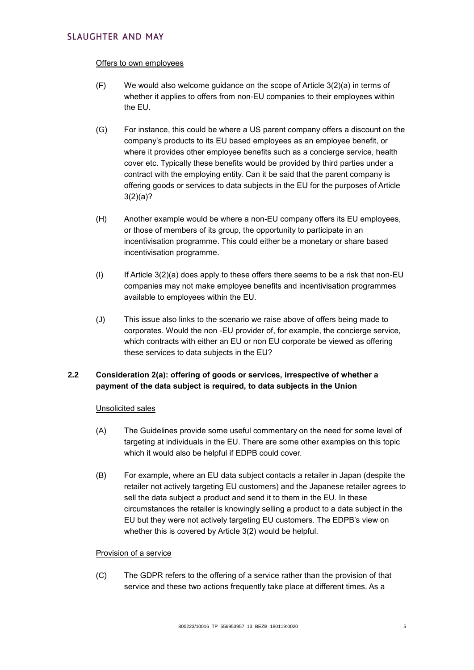### Offers to own employees

- (F) We would also welcome guidance on the scope of Article 3(2)(a) in terms of whether it applies to offers from non-EU companies to their employees within the EU.
- (G) For instance, this could be where a US parent company offers a discount on the company's products to its EU based employees as an employee benefit, or where it provides other employee benefits such as a concierge service, health cover etc. Typically these benefits would be provided by third parties under a contract with the employing entity. Can it be said that the parent company is offering goods or services to data subjects in the EU for the purposes of Article 3(2)(a)?
- (H) Another example would be where a non-EU company offers its EU employees, or those of members of its group, the opportunity to participate in an incentivisation programme. This could either be a monetary or share based incentivisation programme.
- (I) If Article  $3(2)(a)$  does apply to these offers there seems to be a risk that non-EU companies may not make employee benefits and incentivisation programmes available to employees within the EU.
- (J) This issue also links to the scenario we raise above of offers being made to corporates. Would the non -EU provider of, for example, the concierge service, which contracts with either an EU or non EU corporate be viewed as offering these services to data subjects in the EU?

# **2.2 Consideration 2(a): offering of goods or services, irrespective of whether a payment of the data subject is required, to data subjects in the Union**

# Unsolicited sales

- (A) The Guidelines provide some useful commentary on the need for some level of targeting at individuals in the EU. There are some other examples on this topic which it would also be helpful if EDPB could cover.
- (B) For example, where an EU data subject contacts a retailer in Japan (despite the retailer not actively targeting EU customers) and the Japanese retailer agrees to sell the data subject a product and send it to them in the EU. In these circumstances the retailer is knowingly selling a product to a data subject in the EU but they were not actively targeting EU customers. The EDPB's view on whether this is covered by Article 3(2) would be helpful.

# Provision of a service

(C) The GDPR refers to the offering of a service rather than the provision of that service and these two actions frequently take place at different times. As a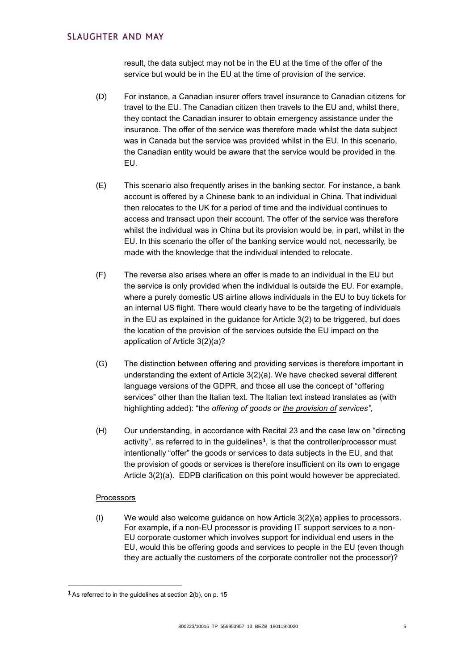result, the data subject may not be in the EU at the time of the offer of the service but would be in the EU at the time of provision of the service.

- (D) For instance, a Canadian insurer offers travel insurance to Canadian citizens for travel to the EU. The Canadian citizen then travels to the EU and, whilst there, they contact the Canadian insurer to obtain emergency assistance under the insurance. The offer of the service was therefore made whilst the data subject was in Canada but the service was provided whilst in the EU. In this scenario, the Canadian entity would be aware that the service would be provided in the EU.
- (E) This scenario also frequently arises in the banking sector. For instance, a bank account is offered by a Chinese bank to an individual in China. That individual then relocates to the UK for a period of time and the individual continues to access and transact upon their account. The offer of the service was therefore whilst the individual was in China but its provision would be, in part, whilst in the EU. In this scenario the offer of the banking service would not, necessarily, be made with the knowledge that the individual intended to relocate.
- (F) The reverse also arises where an offer is made to an individual in the EU but the service is only provided when the individual is outside the EU. For example, where a purely domestic US airline allows individuals in the EU to buy tickets for an internal US flight. There would clearly have to be the targeting of individuals in the EU as explained in the guidance for Article 3(2) to be triggered, but does the location of the provision of the services outside the EU impact on the application of Article 3(2)(a)?
- (G) The distinction between offering and providing services is therefore important in understanding the extent of Article 3(2)(a). We have checked several different language versions of the GDPR, and those all use the concept of "offering services" other than the Italian text. The Italian text instead translates as (with highlighting added): "th*e offering of goods or the provision of services",*
- (H) Our understanding, in accordance with Recital 23 and the case law on "directing activity", as referred to in the guidelines**<sup>1</sup>** , is that the controller/processor must intentionally "offer" the goods or services to data subjects in the EU, and that the provision of goods or services is therefore insufficient on its own to engage Article 3(2)(a). EDPB clarification on this point would however be appreciated.

# **Processors**

-

(I) We would also welcome guidance on how Article 3(2)(a) applies to processors. For example, if a non-EU processor is providing IT support services to a non-EU corporate customer which involves support for individual end users in the EU, would this be offering goods and services to people in the EU (even though they are actually the customers of the corporate controller not the processor)?

**<sup>1</sup>** As referred to in the guidelines at section 2(b), on p. 15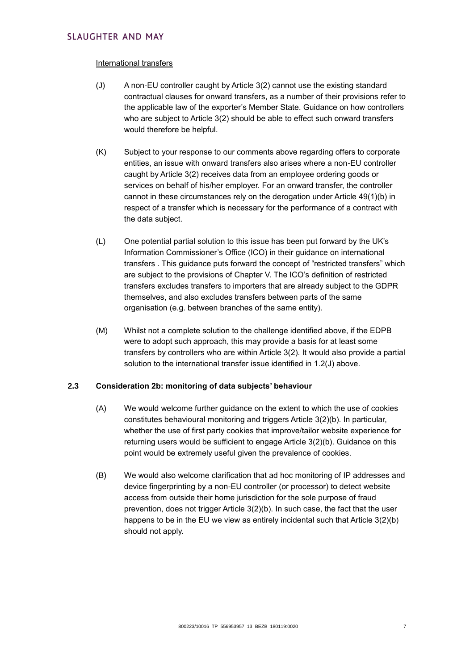### International transfers

- (J) A non-EU controller caught by Article 3(2) cannot use the existing standard contractual clauses for onward transfers, as a number of their provisions refer to the applicable law of the exporter's Member State. Guidance on how controllers who are subject to Article 3(2) should be able to effect such onward transfers would therefore be helpful.
- (K) Subject to your response to our comments above regarding offers to corporate entities, an issue with onward transfers also arises where a non-EU controller caught by Article 3(2) receives data from an employee ordering goods or services on behalf of his/her employer. For an onward transfer, the controller cannot in these circumstances rely on the derogation under Article 49(1)(b) in respect of a transfer which is necessary for the performance of a contract with the data subject.
- (L) One potential partial solution to this issue has been put forward by the UK's Information Commissioner's Office (ICO) in their guidance on international transfers . This guidance puts forward the concept of "restricted transfers" which are subject to the provisions of Chapter V. The ICO's definition of restricted transfers excludes transfers to importers that are already subject to the GDPR themselves, and also excludes transfers between parts of the same organisation (e.g. between branches of the same entity).
- (M) Whilst not a complete solution to the challenge identified above, if the EDPB were to adopt such approach, this may provide a basis for at least some transfers by controllers who are within Article 3(2). It would also provide a partial solution to the international transfer issue identified in 1.2(J) above.

# **2.3 Consideration 2b: monitoring of data subjects' behaviour**

- (A) We would welcome further guidance on the extent to which the use of cookies constitutes behavioural monitoring and triggers Article 3(2)(b). In particular, whether the use of first party cookies that improve/tailor website experience for returning users would be sufficient to engage Article 3(2)(b). Guidance on this point would be extremely useful given the prevalence of cookies.
- (B) We would also welcome clarification that ad hoc monitoring of IP addresses and device fingerprinting by a non-EU controller (or processor) to detect website access from outside their home jurisdiction for the sole purpose of fraud prevention, does not trigger Article 3(2)(b). In such case, the fact that the user happens to be in the EU we view as entirely incidental such that Article 3(2)(b) should not apply.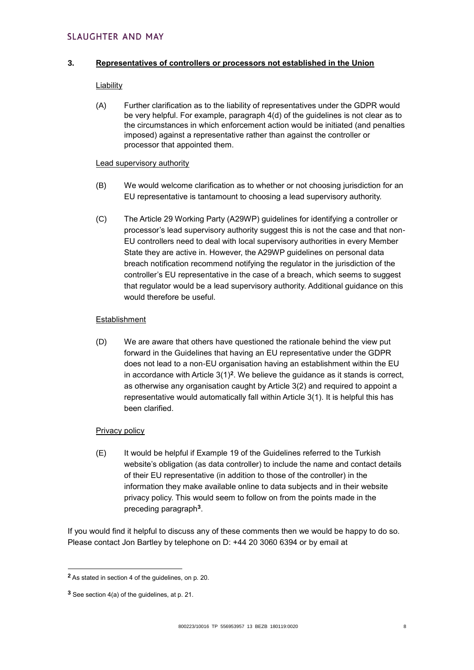# **SLAUGHTER AND MAY**

### **3. Representatives of controllers or processors not established in the Union**

#### Liability

(A) Further clarification as to the liability of representatives under the GDPR would be very helpful. For example, paragraph 4(d) of the guidelines is not clear as to the circumstances in which enforcement action would be initiated (and penalties imposed) against a representative rather than against the controller or processor that appointed them.

### Lead supervisory authority

- (B) We would welcome clarification as to whether or not choosing jurisdiction for an EU representative is tantamount to choosing a lead supervisory authority.
- (C) The Article 29 Working Party (A29WP) guidelines for identifying a controller or processor's lead supervisory authority suggest this is not the case and that non-EU controllers need to deal with local supervisory authorities in every Member State they are active in. However, the A29WP guidelines on personal data breach notification recommend notifying the regulator in the jurisdiction of the controller's EU representative in the case of a breach, which seems to suggest that regulator would be a lead supervisory authority. Additional guidance on this would therefore be useful.

### Establishment

(D) We are aware that others have questioned the rationale behind the view put forward in the Guidelines that having an EU representative under the GDPR does not lead to a non-EU organisation having an establishment within the EU in accordance with Article 3(1)**<sup>2</sup>** . We believe the guidance as it stands is correct, as otherwise any organisation caught by Article 3(2) and required to appoint a representative would automatically fall within Article 3(1). It is helpful this has been clarified.

# Privacy policy

(E) It would be helpful if Example 19 of the Guidelines referred to the Turkish website's obligation (as data controller) to include the name and contact details of their EU representative (in addition to those of the controller) in the information they make available online to data subjects and in their website privacy policy. This would seem to follow on from the points made in the preceding paragraph**<sup>3</sup>** .

If you would find it helpful to discuss any of these comments then we would be happy to do so. Please contact Jon Bartley by telephone on D: +44 20 3060 6394 or by email at

1

**<sup>2</sup>** As stated in section 4 of the guidelines, on p. 20.

**<sup>3</sup>** See section 4(a) of the guidelines, at p. 21.